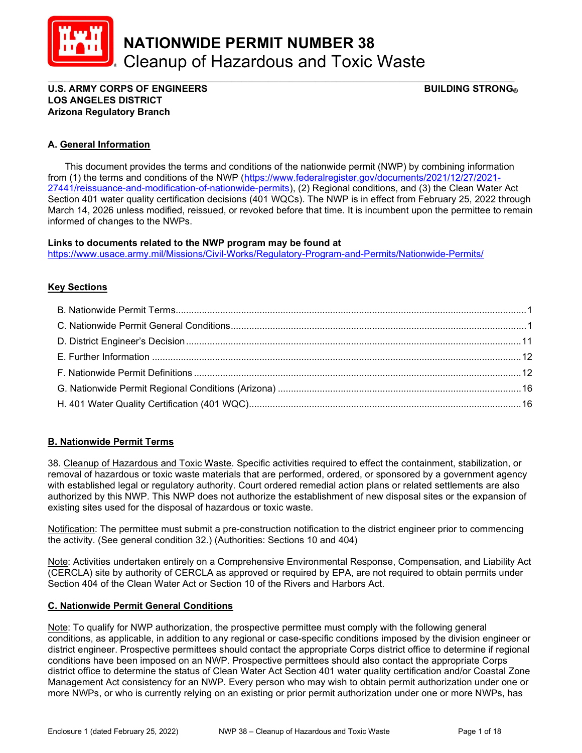

NATIONWIDE PERMIT NUMBER 38 Cleanup of Hazardous and Toxic Waste

#### \_\_\_\_\_\_\_\_\_\_\_\_\_\_\_\_\_\_\_\_\_\_\_\_\_\_\_\_\_\_\_\_\_\_\_\_\_\_\_\_\_\_\_\_\_\_\_\_\_\_\_\_\_\_\_\_\_\_\_\_\_\_\_\_\_\_\_\_\_\_\_\_\_\_\_\_\_\_\_\_\_\_\_\_\_\_\_\_\_ U.S. ARMY CORPS OF ENGINEERS GEET ALL THE STRONG BUILDING STRONG BUILDING STRONG BUILDING STRONG BUILDING STRONG LOS ANGELES DISTRICT Arizona Regulatory Branch

# A. General Information

 This document provides the terms and conditions of the nationwide permit (NWP) by combining information from (1) the terms and conditions of the NWP (https://www.federalregister.gov/documents/2021/12/27/2021- 27441/reissuance-and-modification-of-nationwide-permits), (2) Regional conditions, and (3) the Clean Water Act Section 401 water quality certification decisions (401 WQCs). The NWP is in effect from February 25, 2022 through March 14, 2026 unless modified, reissued, or revoked before that time. It is incumbent upon the permittee to remain informed of changes to the NWPs.

### Links to documents related to the NWP program may be found at

https://www.usace.army.mil/Missions/Civil-Works/Regulatory-Program-and-Permits/Nationwide-Permits/

## **Key Sections**

# B. Nationwide Permit Terms

38. Cleanup of Hazardous and Toxic Waste. Specific activities required to effect the containment, stabilization, or removal of hazardous or toxic waste materials that are performed, ordered, or sponsored by a government agency with established legal or regulatory authority. Court ordered remedial action plans or related settlements are also authorized by this NWP. This NWP does not authorize the establishment of new disposal sites or the expansion of existing sites used for the disposal of hazardous or toxic waste.

Notification: The permittee must submit a pre-construction notification to the district engineer prior to commencing the activity. (See general condition 32.) (Authorities: Sections 10 and 404)

Note: Activities undertaken entirely on a Comprehensive Environmental Response, Compensation, and Liability Act (CERCLA) site by authority of CERCLA as approved or required by EPA, are not required to obtain permits under Section 404 of the Clean Water Act or Section 10 of the Rivers and Harbors Act.

#### C. Nationwide Permit General Conditions

Note: To qualify for NWP authorization, the prospective permittee must comply with the following general conditions, as applicable, in addition to any regional or case-specific conditions imposed by the division engineer or district engineer. Prospective permittees should contact the appropriate Corps district office to determine if regional conditions have been imposed on an NWP. Prospective permittees should also contact the appropriate Corps district office to determine the status of Clean Water Act Section 401 water quality certification and/or Coastal Zone Management Act consistency for an NWP. Every person who may wish to obtain permit authorization under one or more NWPs, or who is currently relying on an existing or prior permit authorization under one or more NWPs, has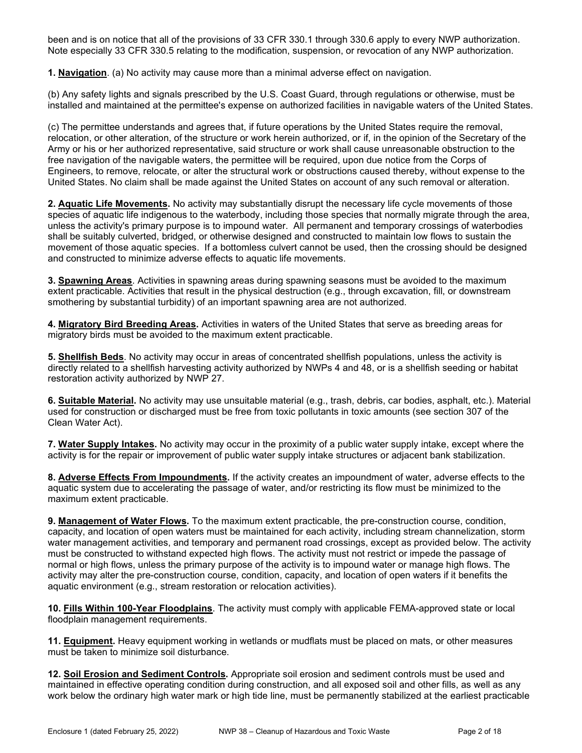been and is on notice that all of the provisions of 33 CFR 330.1 through 330.6 apply to every NWP authorization. Note especially 33 CFR 330.5 relating to the modification, suspension, or revocation of any NWP authorization.

1. Navigation. (a) No activity may cause more than a minimal adverse effect on navigation.

(b) Any safety lights and signals prescribed by the U.S. Coast Guard, through regulations or otherwise, must be installed and maintained at the permittee's expense on authorized facilities in navigable waters of the United States.

(c) The permittee understands and agrees that, if future operations by the United States require the removal, relocation, or other alteration, of the structure or work herein authorized, or if, in the opinion of the Secretary of the Army or his or her authorized representative, said structure or work shall cause unreasonable obstruction to the free navigation of the navigable waters, the permittee will be required, upon due notice from the Corps of Engineers, to remove, relocate, or alter the structural work or obstructions caused thereby, without expense to the United States. No claim shall be made against the United States on account of any such removal or alteration.

2. Aquatic Life Movements. No activity may substantially disrupt the necessary life cycle movements of those species of aquatic life indigenous to the waterbody, including those species that normally migrate through the area, unless the activity's primary purpose is to impound water. All permanent and temporary crossings of waterbodies shall be suitably culverted, bridged, or otherwise designed and constructed to maintain low flows to sustain the movement of those aquatic species. If a bottomless culvert cannot be used, then the crossing should be designed and constructed to minimize adverse effects to aquatic life movements.

**3. Spawning Areas.** Activities in spawning areas during spawning seasons must be avoided to the maximum extent practicable. Activities that result in the physical destruction (e.g., through excavation, fill, or downstream smothering by substantial turbidity) of an important spawning area are not authorized.

4. Migratory Bird Breeding Areas. Activities in waters of the United States that serve as breeding areas for migratory birds must be avoided to the maximum extent practicable.

5. Shellfish Beds. No activity may occur in areas of concentrated shellfish populations, unless the activity is directly related to a shellfish harvesting activity authorized by NWPs 4 and 48, or is a shellfish seeding or habitat restoration activity authorized by NWP 27.

6. Suitable Material. No activity may use unsuitable material (e.g., trash, debris, car bodies, asphalt, etc.). Material used for construction or discharged must be free from toxic pollutants in toxic amounts (see section 307 of the Clean Water Act).

7. Water Supply Intakes. No activity may occur in the proximity of a public water supply intake, except where the activity is for the repair or improvement of public water supply intake structures or adjacent bank stabilization.

8. Adverse Effects From Impoundments. If the activity creates an impoundment of water, adverse effects to the aquatic system due to accelerating the passage of water, and/or restricting its flow must be minimized to the maximum extent practicable.

9. Management of Water Flows. To the maximum extent practicable, the pre-construction course, condition, capacity, and location of open waters must be maintained for each activity, including stream channelization, storm water management activities, and temporary and permanent road crossings, except as provided below. The activity must be constructed to withstand expected high flows. The activity must not restrict or impede the passage of normal or high flows, unless the primary purpose of the activity is to impound water or manage high flows. The activity may alter the pre-construction course, condition, capacity, and location of open waters if it benefits the aquatic environment (e.g., stream restoration or relocation activities).

10. Fills Within 100-Year Floodplains. The activity must comply with applicable FEMA-approved state or local floodplain management requirements.

11. Equipment. Heavy equipment working in wetlands or mudflats must be placed on mats, or other measures must be taken to minimize soil disturbance.

12. Soil Erosion and Sediment Controls. Appropriate soil erosion and sediment controls must be used and maintained in effective operating condition during construction, and all exposed soil and other fills, as well as any work below the ordinary high water mark or high tide line, must be permanently stabilized at the earliest practicable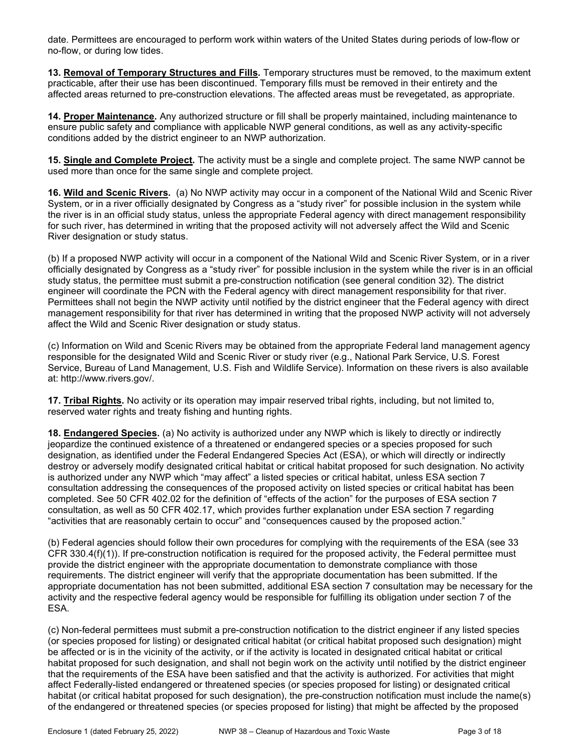date. Permittees are encouraged to perform work within waters of the United States during periods of low-flow or no-flow, or during low tides.

13. Removal of Temporary Structures and Fills. Temporary structures must be removed, to the maximum extent practicable, after their use has been discontinued. Temporary fills must be removed in their entirety and the affected areas returned to pre-construction elevations. The affected areas must be revegetated, as appropriate.

14. Proper Maintenance. Any authorized structure or fill shall be properly maintained, including maintenance to ensure public safety and compliance with applicable NWP general conditions, as well as any activity-specific conditions added by the district engineer to an NWP authorization.

15. Single and Complete Project. The activity must be a single and complete project. The same NWP cannot be used more than once for the same single and complete project.

16. Wild and Scenic Rivers. (a) No NWP activity may occur in a component of the National Wild and Scenic River System, or in a river officially designated by Congress as a "study river" for possible inclusion in the system while the river is in an official study status, unless the appropriate Federal agency with direct management responsibility for such river, has determined in writing that the proposed activity will not adversely affect the Wild and Scenic River designation or study status.

(b) If a proposed NWP activity will occur in a component of the National Wild and Scenic River System, or in a river officially designated by Congress as a "study river" for possible inclusion in the system while the river is in an official study status, the permittee must submit a pre-construction notification (see general condition 32). The district engineer will coordinate the PCN with the Federal agency with direct management responsibility for that river. Permittees shall not begin the NWP activity until notified by the district engineer that the Federal agency with direct management responsibility for that river has determined in writing that the proposed NWP activity will not adversely affect the Wild and Scenic River designation or study status.

(c) Information on Wild and Scenic Rivers may be obtained from the appropriate Federal land management agency responsible for the designated Wild and Scenic River or study river (e.g., National Park Service, U.S. Forest Service, Bureau of Land Management, U.S. Fish and Wildlife Service). Information on these rivers is also available at: http://www.rivers.gov/.

17. Tribal Rights. No activity or its operation may impair reserved tribal rights, including, but not limited to, reserved water rights and treaty fishing and hunting rights.

18. Endangered Species. (a) No activity is authorized under any NWP which is likely to directly or indirectly jeopardize the continued existence of a threatened or endangered species or a species proposed for such designation, as identified under the Federal Endangered Species Act (ESA), or which will directly or indirectly destroy or adversely modify designated critical habitat or critical habitat proposed for such designation. No activity is authorized under any NWP which "may affect" a listed species or critical habitat, unless ESA section 7 consultation addressing the consequences of the proposed activity on listed species or critical habitat has been completed. See 50 CFR 402.02 for the definition of "effects of the action" for the purposes of ESA section 7 consultation, as well as 50 CFR 402.17, which provides further explanation under ESA section 7 regarding "activities that are reasonably certain to occur" and "consequences caused by the proposed action."

(b) Federal agencies should follow their own procedures for complying with the requirements of the ESA (see 33 CFR 330.4(f)(1)). If pre-construction notification is required for the proposed activity, the Federal permittee must provide the district engineer with the appropriate documentation to demonstrate compliance with those requirements. The district engineer will verify that the appropriate documentation has been submitted. If the appropriate documentation has not been submitted, additional ESA section 7 consultation may be necessary for the activity and the respective federal agency would be responsible for fulfilling its obligation under section 7 of the ESA.

(c) Non-federal permittees must submit a pre-construction notification to the district engineer if any listed species (or species proposed for listing) or designated critical habitat (or critical habitat proposed such designation) might be affected or is in the vicinity of the activity, or if the activity is located in designated critical habitat or critical habitat proposed for such designation, and shall not begin work on the activity until notified by the district engineer that the requirements of the ESA have been satisfied and that the activity is authorized. For activities that might affect Federally-listed endangered or threatened species (or species proposed for listing) or designated critical habitat (or critical habitat proposed for such designation), the pre-construction notification must include the name(s) of the endangered or threatened species (or species proposed for listing) that might be affected by the proposed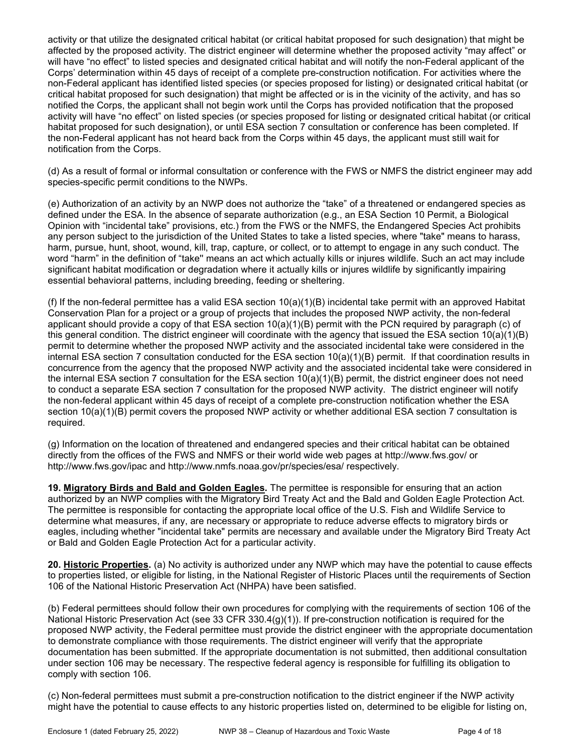activity or that utilize the designated critical habitat (or critical habitat proposed for such designation) that might be affected by the proposed activity. The district engineer will determine whether the proposed activity "may affect" or will have "no effect" to listed species and designated critical habitat and will notify the non-Federal applicant of the Corps' determination within 45 days of receipt of a complete pre-construction notification. For activities where the non-Federal applicant has identified listed species (or species proposed for listing) or designated critical habitat (or critical habitat proposed for such designation) that might be affected or is in the vicinity of the activity, and has so notified the Corps, the applicant shall not begin work until the Corps has provided notification that the proposed activity will have "no effect" on listed species (or species proposed for listing or designated critical habitat (or critical habitat proposed for such designation), or until ESA section 7 consultation or conference has been completed. If the non-Federal applicant has not heard back from the Corps within 45 days, the applicant must still wait for notification from the Corps.

(d) As a result of formal or informal consultation or conference with the FWS or NMFS the district engineer may add species-specific permit conditions to the NWPs.

(e) Authorization of an activity by an NWP does not authorize the "take" of a threatened or endangered species as defined under the ESA. In the absence of separate authorization (e.g., an ESA Section 10 Permit, a Biological Opinion with "incidental take" provisions, etc.) from the FWS or the NMFS, the Endangered Species Act prohibits any person subject to the jurisdiction of the United States to take a listed species, where "take" means to harass, harm, pursue, hunt, shoot, wound, kill, trap, capture, or collect, or to attempt to engage in any such conduct. The word "harm" in the definition of "take'' means an act which actually kills or injures wildlife. Such an act may include significant habitat modification or degradation where it actually kills or injures wildlife by significantly impairing essential behavioral patterns, including breeding, feeding or sheltering.

(f) If the non-federal permittee has a valid ESA section  $10(a)(1)(B)$  incidental take permit with an approved Habitat Conservation Plan for a project or a group of projects that includes the proposed NWP activity, the non-federal applicant should provide a copy of that ESA section  $10(a)(1)(B)$  permit with the PCN required by paragraph (c) of this general condition. The district engineer will coordinate with the agency that issued the ESA section 10(a)(1)(B) permit to determine whether the proposed NWP activity and the associated incidental take were considered in the internal ESA section 7 consultation conducted for the ESA section 10(a)(1)(B) permit. If that coordination results in concurrence from the agency that the proposed NWP activity and the associated incidental take were considered in the internal ESA section 7 consultation for the ESA section 10(a)(1)(B) permit, the district engineer does not need to conduct a separate ESA section 7 consultation for the proposed NWP activity. The district engineer will notify the non-federal applicant within 45 days of receipt of a complete pre-construction notification whether the ESA section 10(a)(1)(B) permit covers the proposed NWP activity or whether additional ESA section 7 consultation is required.

(g) Information on the location of threatened and endangered species and their critical habitat can be obtained directly from the offices of the FWS and NMFS or their world wide web pages at http://www.fws.gov/ or http://www.fws.gov/ipac and http://www.nmfs.noaa.gov/pr/species/esa/ respectively.

19. Migratory Birds and Bald and Golden Eagles. The permittee is responsible for ensuring that an action authorized by an NWP complies with the Migratory Bird Treaty Act and the Bald and Golden Eagle Protection Act. The permittee is responsible for contacting the appropriate local office of the U.S. Fish and Wildlife Service to determine what measures, if any, are necessary or appropriate to reduce adverse effects to migratory birds or eagles, including whether "incidental take" permits are necessary and available under the Migratory Bird Treaty Act or Bald and Golden Eagle Protection Act for a particular activity.

20. Historic Properties. (a) No activity is authorized under any NWP which may have the potential to cause effects to properties listed, or eligible for listing, in the National Register of Historic Places until the requirements of Section 106 of the National Historic Preservation Act (NHPA) have been satisfied.

(b) Federal permittees should follow their own procedures for complying with the requirements of section 106 of the National Historic Preservation Act (see 33 CFR 330.4(g)(1)). If pre-construction notification is required for the proposed NWP activity, the Federal permittee must provide the district engineer with the appropriate documentation to demonstrate compliance with those requirements. The district engineer will verify that the appropriate documentation has been submitted. If the appropriate documentation is not submitted, then additional consultation under section 106 may be necessary. The respective federal agency is responsible for fulfilling its obligation to comply with section 106.

(c) Non-federal permittees must submit a pre-construction notification to the district engineer if the NWP activity might have the potential to cause effects to any historic properties listed on, determined to be eligible for listing on,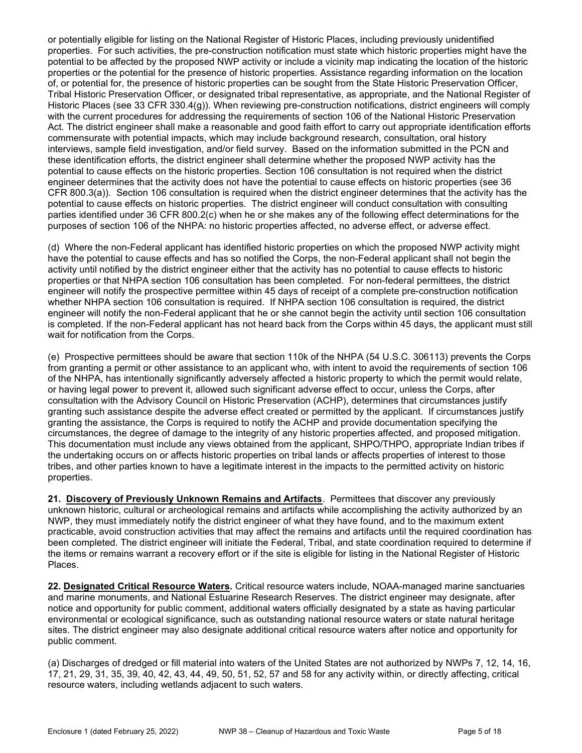or potentially eligible for listing on the National Register of Historic Places, including previously unidentified properties. For such activities, the pre-construction notification must state which historic properties might have the potential to be affected by the proposed NWP activity or include a vicinity map indicating the location of the historic properties or the potential for the presence of historic properties. Assistance regarding information on the location of, or potential for, the presence of historic properties can be sought from the State Historic Preservation Officer, Tribal Historic Preservation Officer, or designated tribal representative, as appropriate, and the National Register of Historic Places (see 33 CFR 330.4(g)). When reviewing pre-construction notifications, district engineers will comply with the current procedures for addressing the requirements of section 106 of the National Historic Preservation Act. The district engineer shall make a reasonable and good faith effort to carry out appropriate identification efforts commensurate with potential impacts, which may include background research, consultation, oral history interviews, sample field investigation, and/or field survey. Based on the information submitted in the PCN and these identification efforts, the district engineer shall determine whether the proposed NWP activity has the potential to cause effects on the historic properties. Section 106 consultation is not required when the district engineer determines that the activity does not have the potential to cause effects on historic properties (see 36 CFR 800.3(a)). Section 106 consultation is required when the district engineer determines that the activity has the potential to cause effects on historic properties. The district engineer will conduct consultation with consulting parties identified under 36 CFR 800.2(c) when he or she makes any of the following effect determinations for the purposes of section 106 of the NHPA: no historic properties affected, no adverse effect, or adverse effect.

(d) Where the non-Federal applicant has identified historic properties on which the proposed NWP activity might have the potential to cause effects and has so notified the Corps, the non-Federal applicant shall not begin the activity until notified by the district engineer either that the activity has no potential to cause effects to historic properties or that NHPA section 106 consultation has been completed. For non-federal permittees, the district engineer will notify the prospective permittee within 45 days of receipt of a complete pre-construction notification whether NHPA section 106 consultation is required. If NHPA section 106 consultation is required, the district engineer will notify the non-Federal applicant that he or she cannot begin the activity until section 106 consultation is completed. If the non-Federal applicant has not heard back from the Corps within 45 days, the applicant must still wait for notification from the Corps.

(e) Prospective permittees should be aware that section 110k of the NHPA (54 U.S.C. 306113) prevents the Corps from granting a permit or other assistance to an applicant who, with intent to avoid the requirements of section 106 of the NHPA, has intentionally significantly adversely affected a historic property to which the permit would relate, or having legal power to prevent it, allowed such significant adverse effect to occur, unless the Corps, after consultation with the Advisory Council on Historic Preservation (ACHP), determines that circumstances justify granting such assistance despite the adverse effect created or permitted by the applicant. If circumstances justify granting the assistance, the Corps is required to notify the ACHP and provide documentation specifying the circumstances, the degree of damage to the integrity of any historic properties affected, and proposed mitigation. This documentation must include any views obtained from the applicant, SHPO/THPO, appropriate Indian tribes if the undertaking occurs on or affects historic properties on tribal lands or affects properties of interest to those tribes, and other parties known to have a legitimate interest in the impacts to the permitted activity on historic properties.

21. Discovery of Previously Unknown Remains and Artifacts. Permittees that discover any previously unknown historic, cultural or archeological remains and artifacts while accomplishing the activity authorized by an NWP, they must immediately notify the district engineer of what they have found, and to the maximum extent practicable, avoid construction activities that may affect the remains and artifacts until the required coordination has been completed. The district engineer will initiate the Federal, Tribal, and state coordination required to determine if the items or remains warrant a recovery effort or if the site is eligible for listing in the National Register of Historic Places.

22. Designated Critical Resource Waters. Critical resource waters include, NOAA-managed marine sanctuaries and marine monuments, and National Estuarine Research Reserves. The district engineer may designate, after notice and opportunity for public comment, additional waters officially designated by a state as having particular environmental or ecological significance, such as outstanding national resource waters or state natural heritage sites. The district engineer may also designate additional critical resource waters after notice and opportunity for public comment.

(a) Discharges of dredged or fill material into waters of the United States are not authorized by NWPs 7, 12, 14, 16, 17, 21, 29, 31, 35, 39, 40, 42, 43, 44, 49, 50, 51, 52, 57 and 58 for any activity within, or directly affecting, critical resource waters, including wetlands adjacent to such waters.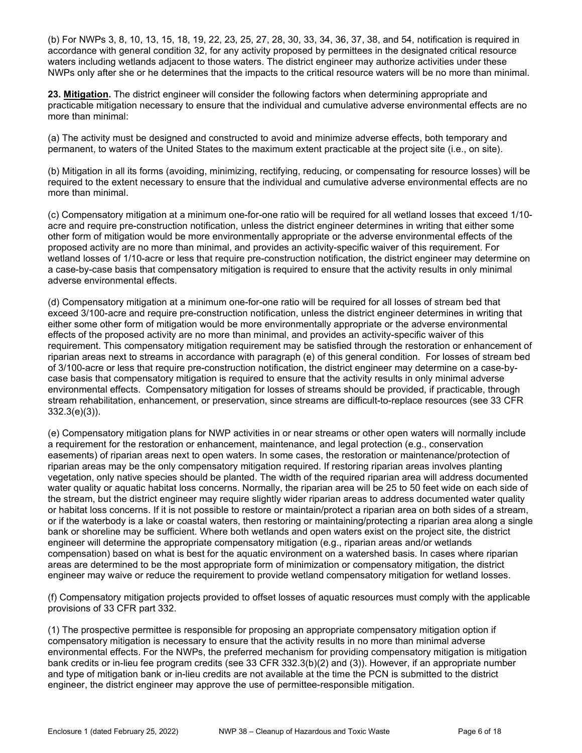(b) For NWPs 3, 8, 10, 13, 15, 18, 19, 22, 23, 25, 27, 28, 30, 33, 34, 36, 37, 38, and 54, notification is required in accordance with general condition 32, for any activity proposed by permittees in the designated critical resource waters including wetlands adjacent to those waters. The district engineer may authorize activities under these NWPs only after she or he determines that the impacts to the critical resource waters will be no more than minimal.

23. Mitigation. The district engineer will consider the following factors when determining appropriate and practicable mitigation necessary to ensure that the individual and cumulative adverse environmental effects are no more than minimal:

(a) The activity must be designed and constructed to avoid and minimize adverse effects, both temporary and permanent, to waters of the United States to the maximum extent practicable at the project site (i.e., on site).

(b) Mitigation in all its forms (avoiding, minimizing, rectifying, reducing, or compensating for resource losses) will be required to the extent necessary to ensure that the individual and cumulative adverse environmental effects are no more than minimal.

(c) Compensatory mitigation at a minimum one-for-one ratio will be required for all wetland losses that exceed 1/10 acre and require pre-construction notification, unless the district engineer determines in writing that either some other form of mitigation would be more environmentally appropriate or the adverse environmental effects of the proposed activity are no more than minimal, and provides an activity-specific waiver of this requirement. For wetland losses of 1/10-acre or less that require pre-construction notification, the district engineer may determine on a case-by-case basis that compensatory mitigation is required to ensure that the activity results in only minimal adverse environmental effects.

(d) Compensatory mitigation at a minimum one-for-one ratio will be required for all losses of stream bed that exceed 3/100-acre and require pre-construction notification, unless the district engineer determines in writing that either some other form of mitigation would be more environmentally appropriate or the adverse environmental effects of the proposed activity are no more than minimal, and provides an activity-specific waiver of this requirement. This compensatory mitigation requirement may be satisfied through the restoration or enhancement of riparian areas next to streams in accordance with paragraph (e) of this general condition. For losses of stream bed of 3/100-acre or less that require pre-construction notification, the district engineer may determine on a case-bycase basis that compensatory mitigation is required to ensure that the activity results in only minimal adverse environmental effects. Compensatory mitigation for losses of streams should be provided, if practicable, through stream rehabilitation, enhancement, or preservation, since streams are difficult-to-replace resources (see 33 CFR 332.3(e)(3)).

(e) Compensatory mitigation plans for NWP activities in or near streams or other open waters will normally include a requirement for the restoration or enhancement, maintenance, and legal protection (e.g., conservation easements) of riparian areas next to open waters. In some cases, the restoration or maintenance/protection of riparian areas may be the only compensatory mitigation required. If restoring riparian areas involves planting vegetation, only native species should be planted. The width of the required riparian area will address documented water quality or aquatic habitat loss concerns. Normally, the riparian area will be 25 to 50 feet wide on each side of the stream, but the district engineer may require slightly wider riparian areas to address documented water quality or habitat loss concerns. If it is not possible to restore or maintain/protect a riparian area on both sides of a stream, or if the waterbody is a lake or coastal waters, then restoring or maintaining/protecting a riparian area along a single bank or shoreline may be sufficient. Where both wetlands and open waters exist on the project site, the district engineer will determine the appropriate compensatory mitigation (e.g., riparian areas and/or wetlands compensation) based on what is best for the aquatic environment on a watershed basis. In cases where riparian areas are determined to be the most appropriate form of minimization or compensatory mitigation, the district engineer may waive or reduce the requirement to provide wetland compensatory mitigation for wetland losses.

(f) Compensatory mitigation projects provided to offset losses of aquatic resources must comply with the applicable provisions of 33 CFR part 332.

(1) The prospective permittee is responsible for proposing an appropriate compensatory mitigation option if compensatory mitigation is necessary to ensure that the activity results in no more than minimal adverse environmental effects. For the NWPs, the preferred mechanism for providing compensatory mitigation is mitigation bank credits or in-lieu fee program credits (see 33 CFR 332.3(b)(2) and (3)). However, if an appropriate number and type of mitigation bank or in-lieu credits are not available at the time the PCN is submitted to the district engineer, the district engineer may approve the use of permittee-responsible mitigation.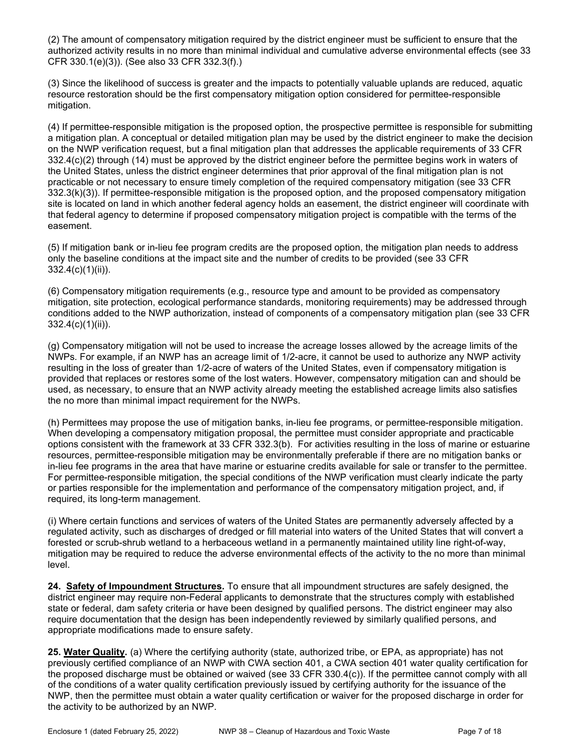(2) The amount of compensatory mitigation required by the district engineer must be sufficient to ensure that the authorized activity results in no more than minimal individual and cumulative adverse environmental effects (see 33 CFR 330.1(e)(3)). (See also 33 CFR 332.3(f).)

(3) Since the likelihood of success is greater and the impacts to potentially valuable uplands are reduced, aquatic resource restoration should be the first compensatory mitigation option considered for permittee-responsible mitigation.

(4) If permittee-responsible mitigation is the proposed option, the prospective permittee is responsible for submitting a mitigation plan. A conceptual or detailed mitigation plan may be used by the district engineer to make the decision on the NWP verification request, but a final mitigation plan that addresses the applicable requirements of 33 CFR 332.4(c)(2) through (14) must be approved by the district engineer before the permittee begins work in waters of the United States, unless the district engineer determines that prior approval of the final mitigation plan is not practicable or not necessary to ensure timely completion of the required compensatory mitigation (see 33 CFR 332.3(k)(3)). If permittee-responsible mitigation is the proposed option, and the proposed compensatory mitigation site is located on land in which another federal agency holds an easement, the district engineer will coordinate with that federal agency to determine if proposed compensatory mitigation project is compatible with the terms of the easement.

(5) If mitigation bank or in-lieu fee program credits are the proposed option, the mitigation plan needs to address only the baseline conditions at the impact site and the number of credits to be provided (see 33 CFR 332.4(c)(1)(ii)).

(6) Compensatory mitigation requirements (e.g., resource type and amount to be provided as compensatory mitigation, site protection, ecological performance standards, monitoring requirements) may be addressed through conditions added to the NWP authorization, instead of components of a compensatory mitigation plan (see 33 CFR 332.4(c)(1)(ii)).

(g) Compensatory mitigation will not be used to increase the acreage losses allowed by the acreage limits of the NWPs. For example, if an NWP has an acreage limit of 1/2-acre, it cannot be used to authorize any NWP activity resulting in the loss of greater than 1/2-acre of waters of the United States, even if compensatory mitigation is provided that replaces or restores some of the lost waters. However, compensatory mitigation can and should be used, as necessary, to ensure that an NWP activity already meeting the established acreage limits also satisfies the no more than minimal impact requirement for the NWPs.

(h) Permittees may propose the use of mitigation banks, in-lieu fee programs, or permittee-responsible mitigation. When developing a compensatory mitigation proposal, the permittee must consider appropriate and practicable options consistent with the framework at 33 CFR 332.3(b). For activities resulting in the loss of marine or estuarine resources, permittee-responsible mitigation may be environmentally preferable if there are no mitigation banks or in-lieu fee programs in the area that have marine or estuarine credits available for sale or transfer to the permittee. For permittee-responsible mitigation, the special conditions of the NWP verification must clearly indicate the party or parties responsible for the implementation and performance of the compensatory mitigation project, and, if required, its long-term management.

(i) Where certain functions and services of waters of the United States are permanently adversely affected by a regulated activity, such as discharges of dredged or fill material into waters of the United States that will convert a forested or scrub-shrub wetland to a herbaceous wetland in a permanently maintained utility line right-of-way, mitigation may be required to reduce the adverse environmental effects of the activity to the no more than minimal level.

24. Safety of Impoundment Structures. To ensure that all impoundment structures are safely designed, the district engineer may require non-Federal applicants to demonstrate that the structures comply with established state or federal, dam safety criteria or have been designed by qualified persons. The district engineer may also require documentation that the design has been independently reviewed by similarly qualified persons, and appropriate modifications made to ensure safety.

25. Water Quality. (a) Where the certifying authority (state, authorized tribe, or EPA, as appropriate) has not previously certified compliance of an NWP with CWA section 401, a CWA section 401 water quality certification for the proposed discharge must be obtained or waived (see 33 CFR 330.4(c)). If the permittee cannot comply with all of the conditions of a water quality certification previously issued by certifying authority for the issuance of the NWP, then the permittee must obtain a water quality certification or waiver for the proposed discharge in order for the activity to be authorized by an NWP.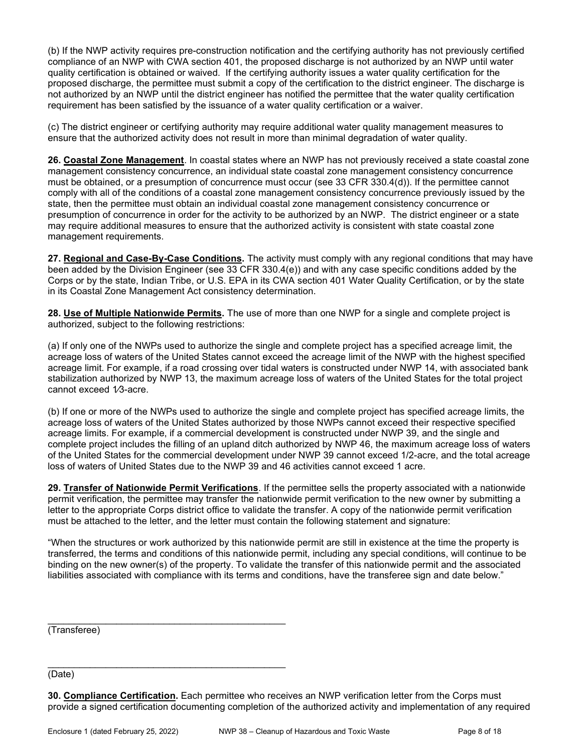(b) If the NWP activity requires pre-construction notification and the certifying authority has not previously certified compliance of an NWP with CWA section 401, the proposed discharge is not authorized by an NWP until water quality certification is obtained or waived. If the certifying authority issues a water quality certification for the proposed discharge, the permittee must submit a copy of the certification to the district engineer. The discharge is not authorized by an NWP until the district engineer has notified the permittee that the water quality certification requirement has been satisfied by the issuance of a water quality certification or a waiver.

(c) The district engineer or certifying authority may require additional water quality management measures to ensure that the authorized activity does not result in more than minimal degradation of water quality.

26. Coastal Zone Management. In coastal states where an NWP has not previously received a state coastal zone management consistency concurrence, an individual state coastal zone management consistency concurrence must be obtained, or a presumption of concurrence must occur (see 33 CFR 330.4(d)). If the permittee cannot comply with all of the conditions of a coastal zone management consistency concurrence previously issued by the state, then the permittee must obtain an individual coastal zone management consistency concurrence or presumption of concurrence in order for the activity to be authorized by an NWP. The district engineer or a state may require additional measures to ensure that the authorized activity is consistent with state coastal zone management requirements.

27. Regional and Case-By-Case Conditions. The activity must comply with any regional conditions that may have been added by the Division Engineer (see 33 CFR 330.4(e)) and with any case specific conditions added by the Corps or by the state, Indian Tribe, or U.S. EPA in its CWA section 401 Water Quality Certification, or by the state in its Coastal Zone Management Act consistency determination.

28. Use of Multiple Nationwide Permits. The use of more than one NWP for a single and complete project is authorized, subject to the following restrictions:

(a) If only one of the NWPs used to authorize the single and complete project has a specified acreage limit, the acreage loss of waters of the United States cannot exceed the acreage limit of the NWP with the highest specified acreage limit. For example, if a road crossing over tidal waters is constructed under NWP 14, with associated bank stabilization authorized by NWP 13, the maximum acreage loss of waters of the United States for the total project cannot exceed 1/3-acre.

(b) If one or more of the NWPs used to authorize the single and complete project has specified acreage limits, the acreage loss of waters of the United States authorized by those NWPs cannot exceed their respective specified acreage limits. For example, if a commercial development is constructed under NWP 39, and the single and complete project includes the filling of an upland ditch authorized by NWP 46, the maximum acreage loss of waters of the United States for the commercial development under NWP 39 cannot exceed 1/2-acre, and the total acreage loss of waters of United States due to the NWP 39 and 46 activities cannot exceed 1 acre.

29. Transfer of Nationwide Permit Verifications. If the permittee sells the property associated with a nationwide permit verification, the permittee may transfer the nationwide permit verification to the new owner by submitting a letter to the appropriate Corps district office to validate the transfer. A copy of the nationwide permit verification must be attached to the letter, and the letter must contain the following statement and signature:

"When the structures or work authorized by this nationwide permit are still in existence at the time the property is transferred, the terms and conditions of this nationwide permit, including any special conditions, will continue to be binding on the new owner(s) of the property. To validate the transfer of this nationwide permit and the associated liabilities associated with compliance with its terms and conditions, have the transferee sign and date below."

(Transferee)

(Date)

30. Compliance Certification. Each permittee who receives an NWP verification letter from the Corps must provide a signed certification documenting completion of the authorized activity and implementation of any required

\_\_\_\_\_\_\_\_\_\_\_\_\_\_\_\_\_\_\_\_\_\_\_\_\_\_\_\_\_\_\_\_\_\_\_\_\_\_\_\_\_\_\_\_\_

\_\_\_\_\_\_\_\_\_\_\_\_\_\_\_\_\_\_\_\_\_\_\_\_\_\_\_\_\_\_\_\_\_\_\_\_\_\_\_\_\_\_\_\_\_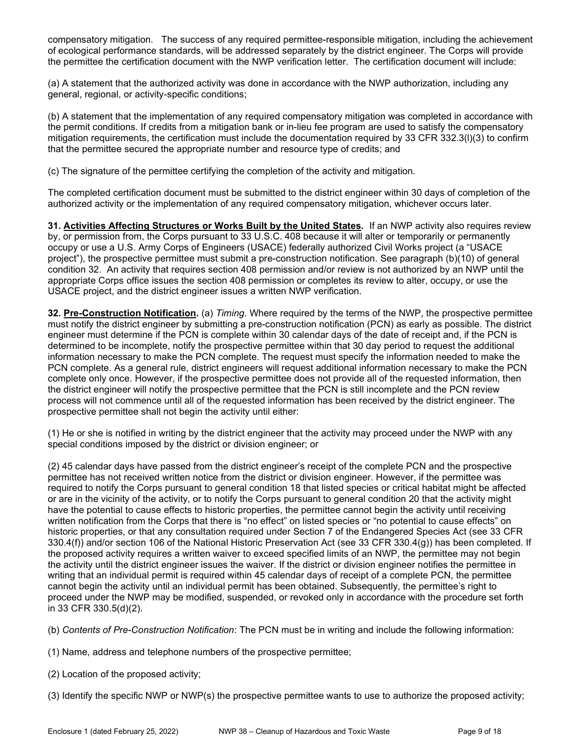compensatory mitigation. The success of any required permittee-responsible mitigation, including the achievement of ecological performance standards, will be addressed separately by the district engineer. The Corps will provide the permittee the certification document with the NWP verification letter. The certification document will include:

(a) A statement that the authorized activity was done in accordance with the NWP authorization, including any general, regional, or activity-specific conditions;

(b) A statement that the implementation of any required compensatory mitigation was completed in accordance with the permit conditions. If credits from a mitigation bank or in-lieu fee program are used to satisfy the compensatory mitigation requirements, the certification must include the documentation required by 33 CFR 332.3(l)(3) to confirm that the permittee secured the appropriate number and resource type of credits; and

(c) The signature of the permittee certifying the completion of the activity and mitigation.

The completed certification document must be submitted to the district engineer within 30 days of completion of the authorized activity or the implementation of any required compensatory mitigation, whichever occurs later.

31. Activities Affecting Structures or Works Built by the United States. If an NWP activity also requires review by, or permission from, the Corps pursuant to 33 U.S.C. 408 because it will alter or temporarily or permanently occupy or use a U.S. Army Corps of Engineers (USACE) federally authorized Civil Works project (a "USACE project"), the prospective permittee must submit a pre-construction notification. See paragraph (b)(10) of general condition 32. An activity that requires section 408 permission and/or review is not authorized by an NWP until the appropriate Corps office issues the section 408 permission or completes its review to alter, occupy, or use the USACE project, and the district engineer issues a written NWP verification.

32. Pre-Construction Notification. (a) Timing. Where required by the terms of the NWP, the prospective permittee must notify the district engineer by submitting a pre-construction notification (PCN) as early as possible. The district engineer must determine if the PCN is complete within 30 calendar days of the date of receipt and, if the PCN is determined to be incomplete, notify the prospective permittee within that 30 day period to request the additional information necessary to make the PCN complete. The request must specify the information needed to make the PCN complete. As a general rule, district engineers will request additional information necessary to make the PCN complete only once. However, if the prospective permittee does not provide all of the requested information, then the district engineer will notify the prospective permittee that the PCN is still incomplete and the PCN review process will not commence until all of the requested information has been received by the district engineer. The prospective permittee shall not begin the activity until either:

(1) He or she is notified in writing by the district engineer that the activity may proceed under the NWP with any special conditions imposed by the district or division engineer; or

(2) 45 calendar days have passed from the district engineer's receipt of the complete PCN and the prospective permittee has not received written notice from the district or division engineer. However, if the permittee was required to notify the Corps pursuant to general condition 18 that listed species or critical habitat might be affected or are in the vicinity of the activity, or to notify the Corps pursuant to general condition 20 that the activity might have the potential to cause effects to historic properties, the permittee cannot begin the activity until receiving written notification from the Corps that there is "no effect" on listed species or "no potential to cause effects" on historic properties, or that any consultation required under Section 7 of the Endangered Species Act (see 33 CFR 330.4(f)) and/or section 106 of the National Historic Preservation Act (see 33 CFR 330.4(g)) has been completed. If the proposed activity requires a written waiver to exceed specified limits of an NWP, the permittee may not begin the activity until the district engineer issues the waiver. If the district or division engineer notifies the permittee in writing that an individual permit is required within 45 calendar days of receipt of a complete PCN, the permittee cannot begin the activity until an individual permit has been obtained. Subsequently, the permittee's right to proceed under the NWP may be modified, suspended, or revoked only in accordance with the procedure set forth in 33 CFR 330.5(d)(2).

(b) Contents of Pre-Construction Notification: The PCN must be in writing and include the following information:

- (1) Name, address and telephone numbers of the prospective permittee;
- (2) Location of the proposed activity;

(3) Identify the specific NWP or NWP(s) the prospective permittee wants to use to authorize the proposed activity;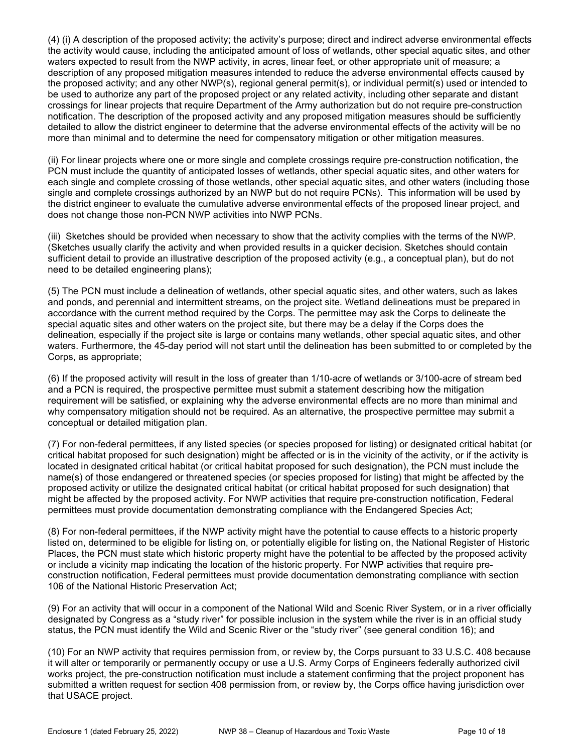(4) (i) A description of the proposed activity; the activity's purpose; direct and indirect adverse environmental effects the activity would cause, including the anticipated amount of loss of wetlands, other special aquatic sites, and other waters expected to result from the NWP activity, in acres, linear feet, or other appropriate unit of measure; a description of any proposed mitigation measures intended to reduce the adverse environmental effects caused by the proposed activity; and any other NWP(s), regional general permit(s), or individual permit(s) used or intended to be used to authorize any part of the proposed project or any related activity, including other separate and distant crossings for linear projects that require Department of the Army authorization but do not require pre-construction notification. The description of the proposed activity and any proposed mitigation measures should be sufficiently detailed to allow the district engineer to determine that the adverse environmental effects of the activity will be no more than minimal and to determine the need for compensatory mitigation or other mitigation measures.

(ii) For linear projects where one or more single and complete crossings require pre-construction notification, the PCN must include the quantity of anticipated losses of wetlands, other special aquatic sites, and other waters for each single and complete crossing of those wetlands, other special aquatic sites, and other waters (including those single and complete crossings authorized by an NWP but do not require PCNs). This information will be used by the district engineer to evaluate the cumulative adverse environmental effects of the proposed linear project, and does not change those non-PCN NWP activities into NWP PCNs.

(iii) Sketches should be provided when necessary to show that the activity complies with the terms of the NWP. (Sketches usually clarify the activity and when provided results in a quicker decision. Sketches should contain sufficient detail to provide an illustrative description of the proposed activity (e.g., a conceptual plan), but do not need to be detailed engineering plans);

(5) The PCN must include a delineation of wetlands, other special aquatic sites, and other waters, such as lakes and ponds, and perennial and intermittent streams, on the project site. Wetland delineations must be prepared in accordance with the current method required by the Corps. The permittee may ask the Corps to delineate the special aquatic sites and other waters on the project site, but there may be a delay if the Corps does the delineation, especially if the project site is large or contains many wetlands, other special aquatic sites, and other waters. Furthermore, the 45-day period will not start until the delineation has been submitted to or completed by the Corps, as appropriate;

(6) If the proposed activity will result in the loss of greater than 1/10-acre of wetlands or 3/100-acre of stream bed and a PCN is required, the prospective permittee must submit a statement describing how the mitigation requirement will be satisfied, or explaining why the adverse environmental effects are no more than minimal and why compensatory mitigation should not be required. As an alternative, the prospective permittee may submit a conceptual or detailed mitigation plan.

(7) For non-federal permittees, if any listed species (or species proposed for listing) or designated critical habitat (or critical habitat proposed for such designation) might be affected or is in the vicinity of the activity, or if the activity is located in designated critical habitat (or critical habitat proposed for such designation), the PCN must include the name(s) of those endangered or threatened species (or species proposed for listing) that might be affected by the proposed activity or utilize the designated critical habitat (or critical habitat proposed for such designation) that might be affected by the proposed activity. For NWP activities that require pre-construction notification, Federal permittees must provide documentation demonstrating compliance with the Endangered Species Act;

(8) For non-federal permittees, if the NWP activity might have the potential to cause effects to a historic property listed on, determined to be eligible for listing on, or potentially eligible for listing on, the National Register of Historic Places, the PCN must state which historic property might have the potential to be affected by the proposed activity or include a vicinity map indicating the location of the historic property. For NWP activities that require preconstruction notification, Federal permittees must provide documentation demonstrating compliance with section 106 of the National Historic Preservation Act;

(9) For an activity that will occur in a component of the National Wild and Scenic River System, or in a river officially designated by Congress as a "study river" for possible inclusion in the system while the river is in an official study status, the PCN must identify the Wild and Scenic River or the "study river" (see general condition 16); and

(10) For an NWP activity that requires permission from, or review by, the Corps pursuant to 33 U.S.C. 408 because it will alter or temporarily or permanently occupy or use a U.S. Army Corps of Engineers federally authorized civil works project, the pre-construction notification must include a statement confirming that the project proponent has submitted a written request for section 408 permission from, or review by, the Corps office having jurisdiction over that USACE project.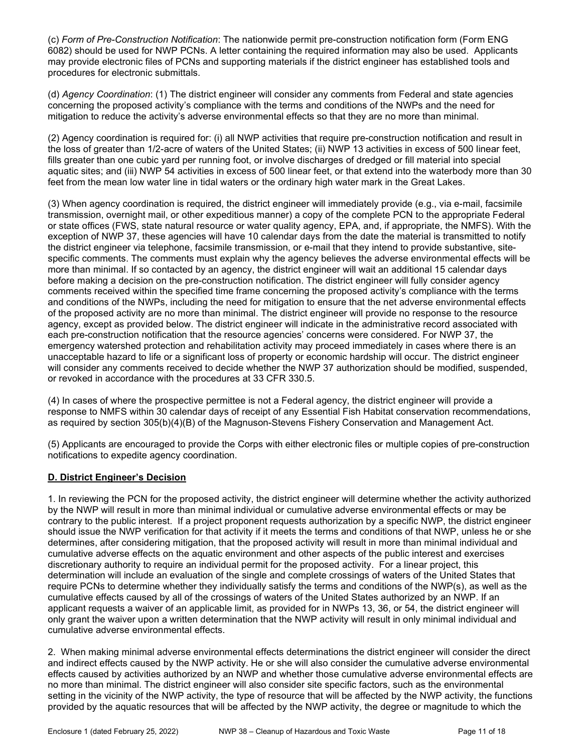(c) Form of Pre-Construction Notification: The nationwide permit pre-construction notification form (Form ENG 6082) should be used for NWP PCNs. A letter containing the required information may also be used. Applicants may provide electronic files of PCNs and supporting materials if the district engineer has established tools and procedures for electronic submittals.

(d) Agency Coordination: (1) The district engineer will consider any comments from Federal and state agencies concerning the proposed activity's compliance with the terms and conditions of the NWPs and the need for mitigation to reduce the activity's adverse environmental effects so that they are no more than minimal.

(2) Agency coordination is required for: (i) all NWP activities that require pre-construction notification and result in the loss of greater than 1/2-acre of waters of the United States; (ii) NWP 13 activities in excess of 500 linear feet, fills greater than one cubic yard per running foot, or involve discharges of dredged or fill material into special aquatic sites; and (iii) NWP 54 activities in excess of 500 linear feet, or that extend into the waterbody more than 30 feet from the mean low water line in tidal waters or the ordinary high water mark in the Great Lakes.

(3) When agency coordination is required, the district engineer will immediately provide (e.g., via e-mail, facsimile transmission, overnight mail, or other expeditious manner) a copy of the complete PCN to the appropriate Federal or state offices (FWS, state natural resource or water quality agency, EPA, and, if appropriate, the NMFS). With the exception of NWP 37, these agencies will have 10 calendar days from the date the material is transmitted to notify the district engineer via telephone, facsimile transmission, or e-mail that they intend to provide substantive, sitespecific comments. The comments must explain why the agency believes the adverse environmental effects will be more than minimal. If so contacted by an agency, the district engineer will wait an additional 15 calendar days before making a decision on the pre-construction notification. The district engineer will fully consider agency comments received within the specified time frame concerning the proposed activity's compliance with the terms and conditions of the NWPs, including the need for mitigation to ensure that the net adverse environmental effects of the proposed activity are no more than minimal. The district engineer will provide no response to the resource agency, except as provided below. The district engineer will indicate in the administrative record associated with each pre-construction notification that the resource agencies' concerns were considered. For NWP 37, the emergency watershed protection and rehabilitation activity may proceed immediately in cases where there is an unacceptable hazard to life or a significant loss of property or economic hardship will occur. The district engineer will consider any comments received to decide whether the NWP 37 authorization should be modified, suspended, or revoked in accordance with the procedures at 33 CFR 330.5.

(4) In cases of where the prospective permittee is not a Federal agency, the district engineer will provide a response to NMFS within 30 calendar days of receipt of any Essential Fish Habitat conservation recommendations, as required by section 305(b)(4)(B) of the Magnuson-Stevens Fishery Conservation and Management Act.

(5) Applicants are encouraged to provide the Corps with either electronic files or multiple copies of pre-construction notifications to expedite agency coordination.

## D. District Engineer's Decision

1. In reviewing the PCN for the proposed activity, the district engineer will determine whether the activity authorized by the NWP will result in more than minimal individual or cumulative adverse environmental effects or may be contrary to the public interest. If a project proponent requests authorization by a specific NWP, the district engineer should issue the NWP verification for that activity if it meets the terms and conditions of that NWP, unless he or she determines, after considering mitigation, that the proposed activity will result in more than minimal individual and cumulative adverse effects on the aquatic environment and other aspects of the public interest and exercises discretionary authority to require an individual permit for the proposed activity. For a linear project, this determination will include an evaluation of the single and complete crossings of waters of the United States that require PCNs to determine whether they individually satisfy the terms and conditions of the NWP(s), as well as the cumulative effects caused by all of the crossings of waters of the United States authorized by an NWP. If an applicant requests a waiver of an applicable limit, as provided for in NWPs 13, 36, or 54, the district engineer will only grant the waiver upon a written determination that the NWP activity will result in only minimal individual and cumulative adverse environmental effects.

2. When making minimal adverse environmental effects determinations the district engineer will consider the direct and indirect effects caused by the NWP activity. He or she will also consider the cumulative adverse environmental effects caused by activities authorized by an NWP and whether those cumulative adverse environmental effects are no more than minimal. The district engineer will also consider site specific factors, such as the environmental setting in the vicinity of the NWP activity, the type of resource that will be affected by the NWP activity, the functions provided by the aquatic resources that will be affected by the NWP activity, the degree or magnitude to which the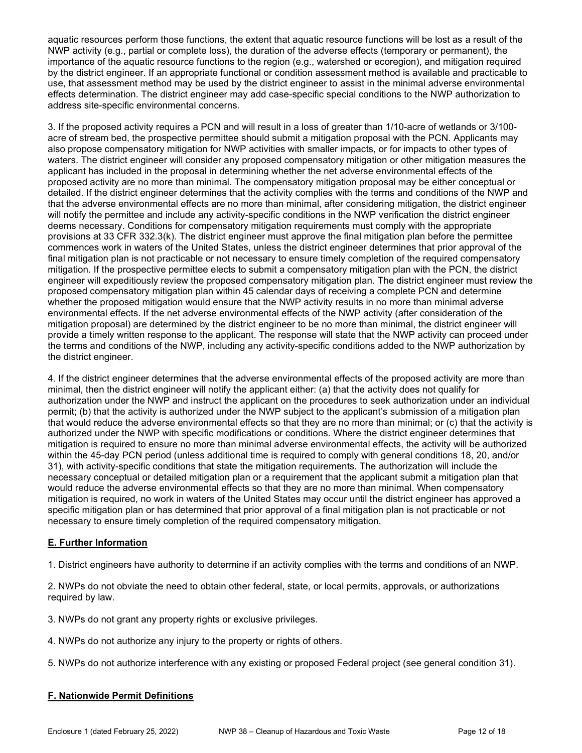aquatic resources perform those functions, the extent that aquatic resource functions will be lost as a result of the NWP activity (e.g., partial or complete loss), the duration of the adverse effects (temporary or permanent), the importance of the aquatic resource functions to the region (e.g., watershed or ecoregion), and mitigation required by the district engineer. If an appropriate functional or condition assessment method is available and practicable to use, that assessment method may be used by the district engineer to assist in the minimal adverse environmental effects determination. The district engineer may add case-specific special conditions to the NWP authorization to address site-specific environmental concerns.

3. If the proposed activity requires a PCN and will result in a loss of greater than 1/10-acre of wetlands or 3/100 acre of stream bed, the prospective permittee should submit a mitigation proposal with the PCN. Applicants may also propose compensatory mitigation for NWP activities with smaller impacts, or for impacts to other types of waters. The district engineer will consider any proposed compensatory mitigation or other mitigation measures the applicant has included in the proposal in determining whether the net adverse environmental effects of the proposed activity are no more than minimal. The compensatory mitigation proposal may be either conceptual or detailed. If the district engineer determines that the activity complies with the terms and conditions of the NWP and that the adverse environmental effects are no more than minimal, after considering mitigation, the district engineer will notify the permittee and include any activity-specific conditions in the NWP verification the district engineer deems necessary. Conditions for compensatory mitigation requirements must comply with the appropriate provisions at 33 CFR 332.3(k). The district engineer must approve the final mitigation plan before the permittee commences work in waters of the United States, unless the district engineer determines that prior approval of the final mitigation plan is not practicable or not necessary to ensure timely completion of the required compensatory mitigation. If the prospective permittee elects to submit a compensatory mitigation plan with the PCN, the district engineer will expeditiously review the proposed compensatory mitigation plan. The district engineer must review the proposed compensatory mitigation plan within 45 calendar days of receiving a complete PCN and determine whether the proposed mitigation would ensure that the NWP activity results in no more than minimal adverse environmental effects. If the net adverse environmental effects of the NWP activity (after consideration of the mitigation proposal) are determined by the district engineer to be no more than minimal, the district engineer will provide a timely written response to the applicant. The response will state that the NWP activity can proceed under the terms and conditions of the NWP, including any activity-specific conditions added to the NWP authorization by the district engineer.

4. If the district engineer determines that the adverse environmental effects of the proposed activity are more than minimal, then the district engineer will notify the applicant either: (a) that the activity does not qualify for authorization under the NWP and instruct the applicant on the procedures to seek authorization under an individual permit; (b) that the activity is authorized under the NWP subject to the applicant's submission of a mitigation plan that would reduce the adverse environmental effects so that they are no more than minimal; or (c) that the activity is authorized under the NWP with specific modifications or conditions. Where the district engineer determines that mitigation is required to ensure no more than minimal adverse environmental effects, the activity will be authorized within the 45-day PCN period (unless additional time is required to comply with general conditions 18, 20, and/or 31), with activity-specific conditions that state the mitigation requirements. The authorization will include the necessary conceptual or detailed mitigation plan or a requirement that the applicant submit a mitigation plan that would reduce the adverse environmental effects so that they are no more than minimal. When compensatory mitigation is required, no work in waters of the United States may occur until the district engineer has approved a specific mitigation plan or has determined that prior approval of a final mitigation plan is not practicable or not necessary to ensure timely completion of the required compensatory mitigation.

## E. Further Information

1. District engineers have authority to determine if an activity complies with the terms and conditions of an NWP.

2. NWPs do not obviate the need to obtain other federal, state, or local permits, approvals, or authorizations required by law.

3. NWPs do not grant any property rights or exclusive privileges.

- 4. NWPs do not authorize any injury to the property or rights of others.
- 5. NWPs do not authorize interference with any existing or proposed Federal project (see general condition 31).

## F. Nationwide Permit Definitions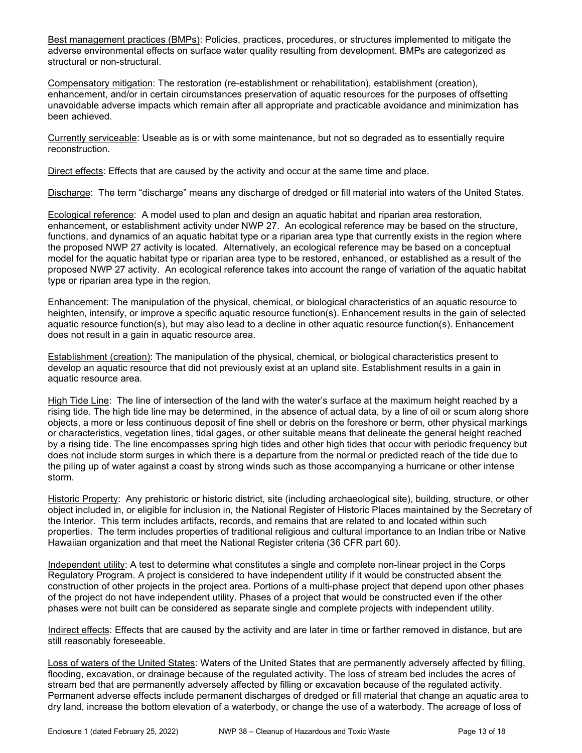Best management practices (BMPs): Policies, practices, procedures, or structures implemented to mitigate the adverse environmental effects on surface water quality resulting from development. BMPs are categorized as structural or non-structural.

Compensatory mitigation: The restoration (re-establishment or rehabilitation), establishment (creation), enhancement, and/or in certain circumstances preservation of aquatic resources for the purposes of offsetting unavoidable adverse impacts which remain after all appropriate and practicable avoidance and minimization has been achieved.

Currently serviceable: Useable as is or with some maintenance, but not so degraded as to essentially require reconstruction.

Direct effects: Effects that are caused by the activity and occur at the same time and place.

Discharge: The term "discharge" means any discharge of dredged or fill material into waters of the United States.

Ecological reference: A model used to plan and design an aquatic habitat and riparian area restoration, enhancement, or establishment activity under NWP 27. An ecological reference may be based on the structure, functions, and dynamics of an aquatic habitat type or a riparian area type that currently exists in the region where the proposed NWP 27 activity is located. Alternatively, an ecological reference may be based on a conceptual model for the aquatic habitat type or riparian area type to be restored, enhanced, or established as a result of the proposed NWP 27 activity. An ecological reference takes into account the range of variation of the aquatic habitat type or riparian area type in the region.

Enhancement: The manipulation of the physical, chemical, or biological characteristics of an aquatic resource to heighten, intensify, or improve a specific aquatic resource function(s). Enhancement results in the gain of selected aquatic resource function(s), but may also lead to a decline in other aquatic resource function(s). Enhancement does not result in a gain in aquatic resource area.

Establishment (creation): The manipulation of the physical, chemical, or biological characteristics present to develop an aquatic resource that did not previously exist at an upland site. Establishment results in a gain in aquatic resource area.

High Tide Line: The line of intersection of the land with the water's surface at the maximum height reached by a rising tide. The high tide line may be determined, in the absence of actual data, by a line of oil or scum along shore objects, a more or less continuous deposit of fine shell or debris on the foreshore or berm, other physical markings or characteristics, vegetation lines, tidal gages, or other suitable means that delineate the general height reached by a rising tide. The line encompasses spring high tides and other high tides that occur with periodic frequency but does not include storm surges in which there is a departure from the normal or predicted reach of the tide due to the piling up of water against a coast by strong winds such as those accompanying a hurricane or other intense storm.

Historic Property: Any prehistoric or historic district, site (including archaeological site), building, structure, or other object included in, or eligible for inclusion in, the National Register of Historic Places maintained by the Secretary of the Interior. This term includes artifacts, records, and remains that are related to and located within such properties. The term includes properties of traditional religious and cultural importance to an Indian tribe or Native Hawaiian organization and that meet the National Register criteria (36 CFR part 60).

Independent utility: A test to determine what constitutes a single and complete non-linear project in the Corps Regulatory Program. A project is considered to have independent utility if it would be constructed absent the construction of other projects in the project area. Portions of a multi-phase project that depend upon other phases of the project do not have independent utility. Phases of a project that would be constructed even if the other phases were not built can be considered as separate single and complete projects with independent utility.

Indirect effects: Effects that are caused by the activity and are later in time or farther removed in distance, but are still reasonably foreseeable.

Loss of waters of the United States: Waters of the United States that are permanently adversely affected by filling, flooding, excavation, or drainage because of the regulated activity. The loss of stream bed includes the acres of stream bed that are permanently adversely affected by filling or excavation because of the regulated activity. Permanent adverse effects include permanent discharges of dredged or fill material that change an aquatic area to dry land, increase the bottom elevation of a waterbody, or change the use of a waterbody. The acreage of loss of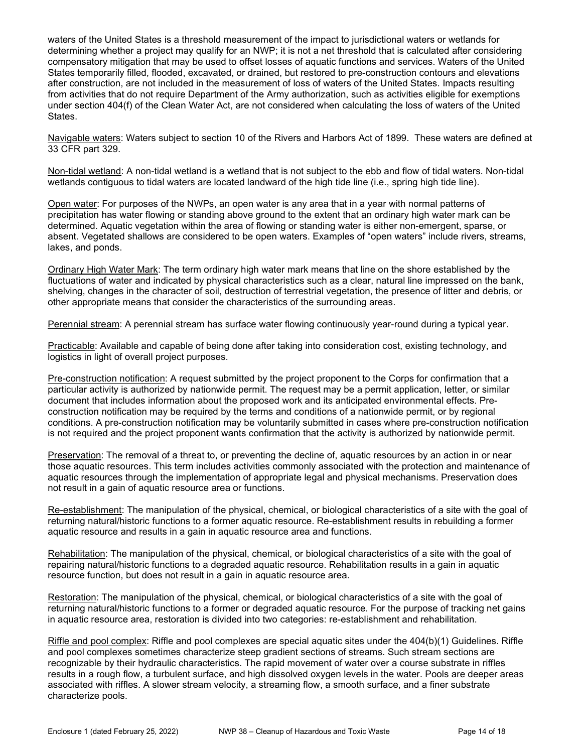waters of the United States is a threshold measurement of the impact to jurisdictional waters or wetlands for determining whether a project may qualify for an NWP; it is not a net threshold that is calculated after considering compensatory mitigation that may be used to offset losses of aquatic functions and services. Waters of the United States temporarily filled, flooded, excavated, or drained, but restored to pre-construction contours and elevations after construction, are not included in the measurement of loss of waters of the United States. Impacts resulting from activities that do not require Department of the Army authorization, such as activities eligible for exemptions under section 404(f) of the Clean Water Act, are not considered when calculating the loss of waters of the United States.

Navigable waters: Waters subject to section 10 of the Rivers and Harbors Act of 1899. These waters are defined at 33 CFR part 329.

Non-tidal wetland: A non-tidal wetland is a wetland that is not subject to the ebb and flow of tidal waters. Non-tidal wetlands contiguous to tidal waters are located landward of the high tide line (i.e., spring high tide line).

Open water: For purposes of the NWPs, an open water is any area that in a year with normal patterns of precipitation has water flowing or standing above ground to the extent that an ordinary high water mark can be determined. Aquatic vegetation within the area of flowing or standing water is either non-emergent, sparse, or absent. Vegetated shallows are considered to be open waters. Examples of "open waters" include rivers, streams, lakes, and ponds.

Ordinary High Water Mark: The term ordinary high water mark means that line on the shore established by the fluctuations of water and indicated by physical characteristics such as a clear, natural line impressed on the bank, shelving, changes in the character of soil, destruction of terrestrial vegetation, the presence of litter and debris, or other appropriate means that consider the characteristics of the surrounding areas.

Perennial stream: A perennial stream has surface water flowing continuously year-round during a typical year.

Practicable: Available and capable of being done after taking into consideration cost, existing technology, and logistics in light of overall project purposes.

Pre-construction notification: A request submitted by the project proponent to the Corps for confirmation that a particular activity is authorized by nationwide permit. The request may be a permit application, letter, or similar document that includes information about the proposed work and its anticipated environmental effects. Preconstruction notification may be required by the terms and conditions of a nationwide permit, or by regional conditions. A pre-construction notification may be voluntarily submitted in cases where pre-construction notification is not required and the project proponent wants confirmation that the activity is authorized by nationwide permit.

Preservation: The removal of a threat to, or preventing the decline of, aquatic resources by an action in or near those aquatic resources. This term includes activities commonly associated with the protection and maintenance of aquatic resources through the implementation of appropriate legal and physical mechanisms. Preservation does not result in a gain of aquatic resource area or functions.

Re-establishment: The manipulation of the physical, chemical, or biological characteristics of a site with the goal of returning natural/historic functions to a former aquatic resource. Re-establishment results in rebuilding a former aquatic resource and results in a gain in aquatic resource area and functions.

Rehabilitation: The manipulation of the physical, chemical, or biological characteristics of a site with the goal of repairing natural/historic functions to a degraded aquatic resource. Rehabilitation results in a gain in aquatic resource function, but does not result in a gain in aquatic resource area.

Restoration: The manipulation of the physical, chemical, or biological characteristics of a site with the goal of returning natural/historic functions to a former or degraded aquatic resource. For the purpose of tracking net gains in aquatic resource area, restoration is divided into two categories: re-establishment and rehabilitation.

Riffle and pool complex: Riffle and pool complexes are special aquatic sites under the 404(b)(1) Guidelines. Riffle and pool complexes sometimes characterize steep gradient sections of streams. Such stream sections are recognizable by their hydraulic characteristics. The rapid movement of water over a course substrate in riffles results in a rough flow, a turbulent surface, and high dissolved oxygen levels in the water. Pools are deeper areas associated with riffles. A slower stream velocity, a streaming flow, a smooth surface, and a finer substrate characterize pools.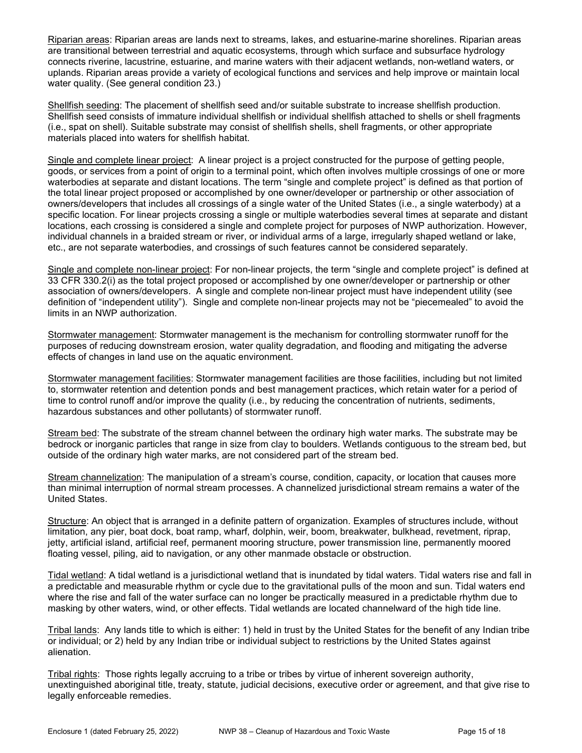Riparian areas: Riparian areas are lands next to streams, lakes, and estuarine-marine shorelines. Riparian areas are transitional between terrestrial and aquatic ecosystems, through which surface and subsurface hydrology connects riverine, lacustrine, estuarine, and marine waters with their adjacent wetlands, non-wetland waters, or uplands. Riparian areas provide a variety of ecological functions and services and help improve or maintain local water quality. (See general condition 23.)

Shellfish seeding: The placement of shellfish seed and/or suitable substrate to increase shellfish production. Shellfish seed consists of immature individual shellfish or individual shellfish attached to shells or shell fragments (i.e., spat on shell). Suitable substrate may consist of shellfish shells, shell fragments, or other appropriate materials placed into waters for shellfish habitat.

Single and complete linear project: A linear project is a project constructed for the purpose of getting people, goods, or services from a point of origin to a terminal point, which often involves multiple crossings of one or more waterbodies at separate and distant locations. The term "single and complete project" is defined as that portion of the total linear project proposed or accomplished by one owner/developer or partnership or other association of owners/developers that includes all crossings of a single water of the United States (i.e., a single waterbody) at a specific location. For linear projects crossing a single or multiple waterbodies several times at separate and distant locations, each crossing is considered a single and complete project for purposes of NWP authorization. However, individual channels in a braided stream or river, or individual arms of a large, irregularly shaped wetland or lake, etc., are not separate waterbodies, and crossings of such features cannot be considered separately.

Single and complete non-linear project: For non-linear projects, the term "single and complete project" is defined at 33 CFR 330.2(i) as the total project proposed or accomplished by one owner/developer or partnership or other association of owners/developers. A single and complete non-linear project must have independent utility (see definition of "independent utility"). Single and complete non-linear projects may not be "piecemealed" to avoid the limits in an NWP authorization.

Stormwater management: Stormwater management is the mechanism for controlling stormwater runoff for the purposes of reducing downstream erosion, water quality degradation, and flooding and mitigating the adverse effects of changes in land use on the aquatic environment.

Stormwater management facilities: Stormwater management facilities are those facilities, including but not limited to, stormwater retention and detention ponds and best management practices, which retain water for a period of time to control runoff and/or improve the quality (i.e., by reducing the concentration of nutrients, sediments, hazardous substances and other pollutants) of stormwater runoff.

Stream bed: The substrate of the stream channel between the ordinary high water marks. The substrate may be bedrock or inorganic particles that range in size from clay to boulders. Wetlands contiguous to the stream bed, but outside of the ordinary high water marks, are not considered part of the stream bed.

Stream channelization: The manipulation of a stream's course, condition, capacity, or location that causes more than minimal interruption of normal stream processes. A channelized jurisdictional stream remains a water of the United States.

Structure: An object that is arranged in a definite pattern of organization. Examples of structures include, without limitation, any pier, boat dock, boat ramp, wharf, dolphin, weir, boom, breakwater, bulkhead, revetment, riprap, jetty, artificial island, artificial reef, permanent mooring structure, power transmission line, permanently moored floating vessel, piling, aid to navigation, or any other manmade obstacle or obstruction.

Tidal wetland: A tidal wetland is a jurisdictional wetland that is inundated by tidal waters. Tidal waters rise and fall in a predictable and measurable rhythm or cycle due to the gravitational pulls of the moon and sun. Tidal waters end where the rise and fall of the water surface can no longer be practically measured in a predictable rhythm due to masking by other waters, wind, or other effects. Tidal wetlands are located channelward of the high tide line.

Tribal lands: Any lands title to which is either: 1) held in trust by the United States for the benefit of any Indian tribe or individual; or 2) held by any Indian tribe or individual subject to restrictions by the United States against alienation.

Tribal rights: Those rights legally accruing to a tribe or tribes by virtue of inherent sovereign authority, unextinguished aboriginal title, treaty, statute, judicial decisions, executive order or agreement, and that give rise to legally enforceable remedies.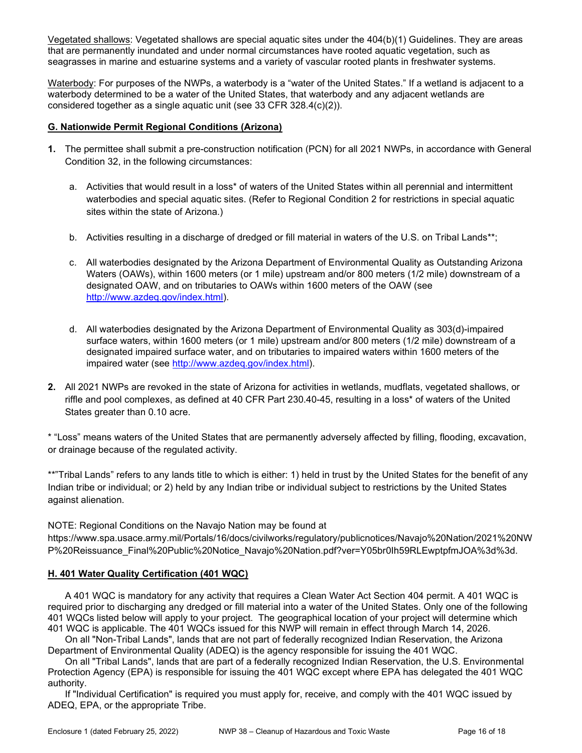Vegetated shallows: Vegetated shallows are special aquatic sites under the 404(b)(1) Guidelines. They are areas that are permanently inundated and under normal circumstances have rooted aquatic vegetation, such as seagrasses in marine and estuarine systems and a variety of vascular rooted plants in freshwater systems.

Waterbody: For purposes of the NWPs, a waterbody is a "water of the United States." If a wetland is adjacent to a waterbody determined to be a water of the United States, that waterbody and any adjacent wetlands are considered together as a single aquatic unit (see 33 CFR 328.4(c)(2)).

### G. Nationwide Permit Regional Conditions (Arizona)

- 1. The permittee shall submit a pre-construction notification (PCN) for all 2021 NWPs, in accordance with General Condition 32, in the following circumstances:
	- a. Activities that would result in a loss\* of waters of the United States within all perennial and intermittent waterbodies and special aquatic sites. (Refer to Regional Condition 2 for restrictions in special aquatic sites within the state of Arizona.)
	- b. Activities resulting in a discharge of dredged or fill material in waters of the U.S. on Tribal Lands\*\*;
	- c. All waterbodies designated by the Arizona Department of Environmental Quality as Outstanding Arizona Waters (OAWs), within 1600 meters (or 1 mile) upstream and/or 800 meters (1/2 mile) downstream of a designated OAW, and on tributaries to OAWs within 1600 meters of the OAW (see http://www.azdeq.gov/index.html).
	- d. All waterbodies designated by the Arizona Department of Environmental Quality as 303(d)-impaired surface waters, within 1600 meters (or 1 mile) upstream and/or 800 meters (1/2 mile) downstream of a designated impaired surface water, and on tributaries to impaired waters within 1600 meters of the impaired water (see http://www.azdeq.gov/index.html).
- 2. All 2021 NWPs are revoked in the state of Arizona for activities in wetlands, mudflats, vegetated shallows, or riffle and pool complexes, as defined at 40 CFR Part 230.40-45, resulting in a loss\* of waters of the United States greater than 0.10 acre.

\* "Loss" means waters of the United States that are permanently adversely affected by filling, flooding, excavation, or drainage because of the regulated activity.

\*\*"Tribal Lands" refers to any lands title to which is either: 1) held in trust by the United States for the benefit of any Indian tribe or individual; or 2) held by any Indian tribe or individual subject to restrictions by the United States against alienation.

NOTE: Regional Conditions on the Navajo Nation may be found at

https://www.spa.usace.army.mil/Portals/16/docs/civilworks/regulatory/publicnotices/Navajo%20Nation/2021%20NW P%20Reissuance\_Final%20Public%20Notice\_Navajo%20Nation.pdf?ver=Y05br0Ih59RLEwptpfmJOA%3d%3d.

#### H. 401 Water Quality Certification (401 WQC)

 A 401 WQC is mandatory for any activity that requires a Clean Water Act Section 404 permit. A 401 WQC is required prior to discharging any dredged or fill material into a water of the United States. Only one of the following 401 WQCs listed below will apply to your project. The geographical location of your project will determine which 401 WQC is applicable. The 401 WQCs issued for this NWP will remain in effect through March 14, 2026.

 On all "Non-Tribal Lands", lands that are not part of federally recognized Indian Reservation, the Arizona Department of Environmental Quality (ADEQ) is the agency responsible for issuing the 401 WQC.

 On all "Tribal Lands", lands that are part of a federally recognized Indian Reservation, the U.S. Environmental Protection Agency (EPA) is responsible for issuing the 401 WQC except where EPA has delegated the 401 WQC authority.

 If "Individual Certification" is required you must apply for, receive, and comply with the 401 WQC issued by ADEQ, EPA, or the appropriate Tribe.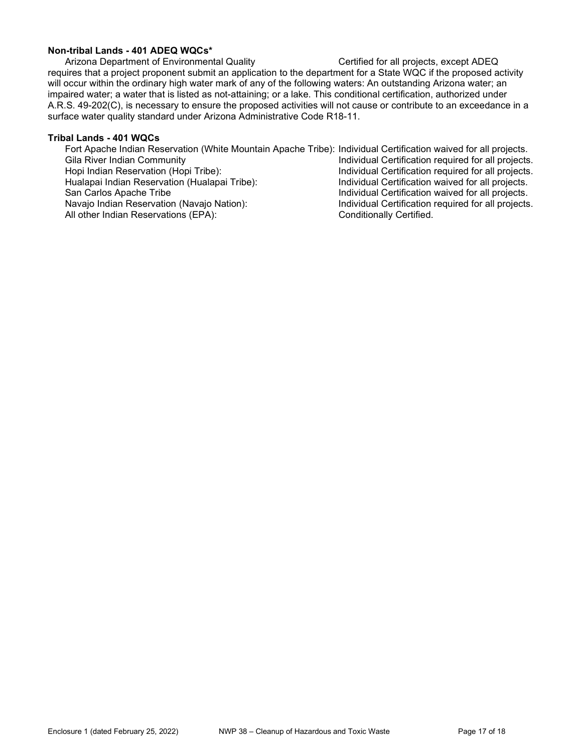### Non-tribal Lands - 401 ADEQ WQCs\*

Arizona Department of Environmental Quality Certified for all projects, except ADEQ requires that a project proponent submit an application to the department for a State WQC if the proposed activity will occur within the ordinary high water mark of any of the following waters: An outstanding Arizona water; an impaired water; a water that is listed as not-attaining; or a lake. This conditional certification, authorized under A.R.S. 49-202(C), is necessary to ensure the proposed activities will not cause or contribute to an exceedance in a surface water quality standard under Arizona Administrative Code R18-11.

#### Tribal Lands - 401 WQCs

 Fort Apache Indian Reservation (White Mountain Apache Tribe): Individual Certification waived for all projects. Gila River Indian Community<br>
Hopi Indian Reservation (Hopi Tribe): Individual Certification required for all projects.<br>
Individual Certification required for all projects. Individual Certification required for all projects. Hualapai Indian Reservation (Hualapai Tribe): Individual Certification waived for all projects. Individual Certification waived for all projects. Navajo Indian Reservation (Navajo Nation): Individual Certification required for all projects. All other Indian Reservations (EPA): Conditionally Certified.